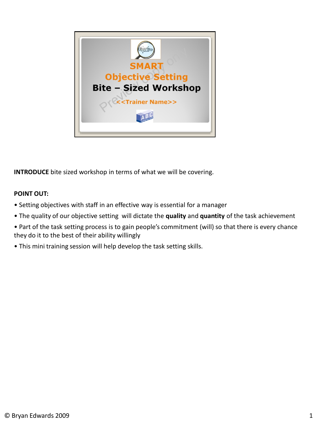

**INTRODUCE** bite sized workshop in terms of what we will be covering.

## **POINT OUT:**

- Setting objectives with staff in an effective way is essential for a manager
- The quality of our objective setting will dictate the **quality** and **quantity** of the task achievement
- Part of the task setting process is to gain people's commitment (will) so that there is every chance they do it to the best of their ability willingly
- This mini training session will help develop the task setting skills.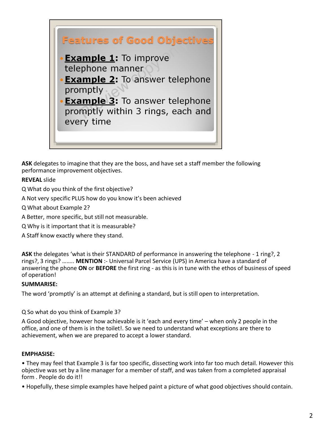

**ASK** delegates to imagine that they are the boss, and have set a staff member the following performance improvement objectives.

## **REVEAL** slide

Q What do you think of the first objective?

A Not very specific PLUS how do you know it's been achieved

Q What about Example 2?

A Better, more specific, but still not measurable.

Q Why is it important that it is measurable?

A Staff know exactly where they stand.

**ASK** the delegates 'what is their STANDARD of performance in answering the telephone - 1 ring?, 2 rings?, 3 rings? …….. **MENTION** :- Universal Parcel Service (UPS) in America have a standard of answering the phone **ON** or **BEFORE** the first ring - as this is in tune with the ethos of business of speed of operation!

#### **SUMMARISE:**

The word 'promptly' is an attempt at defining a standard, but is still open to interpretation.

Q So what do you think of Example 3?

A Good objective, however how achievable is it 'each and every time' – when only 2 people in the office, and one of them is in the toilet!. So we need to understand what exceptions are there to achievement, when we are prepared to accept a lower standard.

### **EMPHASISE:**

• They may feel that Example 3 is far too specific, dissecting work into far too much detail. However this objective was set by a line manager for a member of staff, and was taken from a completed appraisal form . People do do it!!

• Hopefully, these simple examples have helped paint a picture of what good objectives should contain.